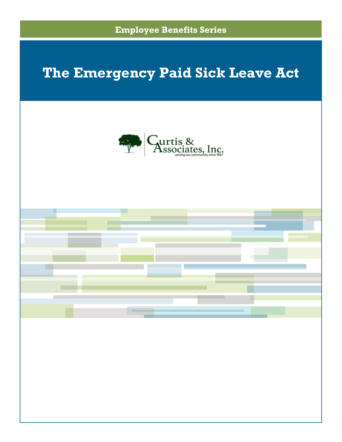

# **The Emergency Paid Sick Leave Act**



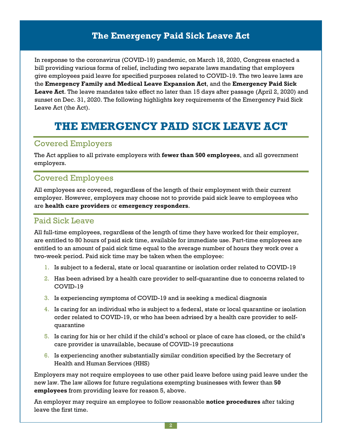# **The Emergency Paid Sick Leave Act**

In response to the coronavirus (COVID-19) pandemic, on March 18, 2020, Congress enacted a bill providing various forms of relief, including two separate laws mandating that employers give employees paid leave for specified purposes related to COVID-19. The two leave laws are the **Emergency Family and Medical Leave Expansion Act**, and the **Emergency Paid Sick Leave Act**. The leave mandates take effect no later than 15 days after passage (April 2, 2020) and sunset on Dec. 31, 2020. The following highlights key requirements of the Emergency Paid Sick Leave Act (the Act).

# **THE EMERGENCY PAID SICK LEAVE ACT**

### Covered Employers

The Act applies to all private employers with **fewer than 500 employees**, and all government employers.

### Covered Employees

All employees are covered, regardless of the length of their employment with their current employer. However, employers may choose not to provide paid sick leave to employees who are **health care providers** or **emergency responders**.

## Paid Sick Leave

All full-time employees, regardless of the length of time they have worked for their employer, are entitled to 80 hours of paid sick time, available for immediate use. Part-time employees are entitled to an amount of paid sick time equal to the average number of hours they work over a two-week period. Paid sick time may be taken when the employee:

- 1. Is subject to a federal, state or local quarantine or isolation order related to COVID-19
- 2. Has been advised by a health care provider to self-quarantine due to concerns related to COVID-19
- 3. Is experiencing symptoms of COVID-19 and is seeking a medical diagnosis
- 4. Is caring for an individual who is subject to a federal, state or local quarantine or isolation order related to COVID-19, or who has been advised by a health care provider to selfquarantine
- 5. Is caring for his or her child if the child's school or place of care has closed, or the child's care provider is unavailable, because of COVID-19 precautions
- 6. Is experiencing another substantially similar condition specified by the Secretary of Health and Human Services (HHS)

Employers may not require employees to use other paid leave before using paid leave under the new law. The law allows for future regulations exempting businesses with fewer than **50 employees** from providing leave for reason 5, above.

An employer may require an employee to follow reasonable **notice procedures** after taking leave the first time.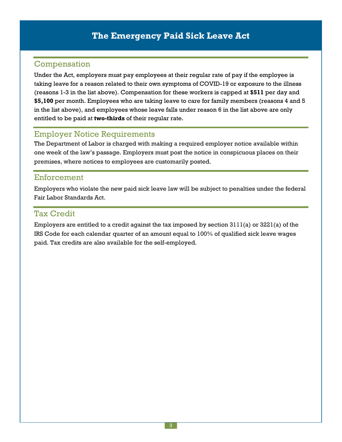# Compensation

Under the Act, employers must pay employees at their regular rate of pay if the employee is taking leave for a reason related to their own symptoms of COVID-19 or exposure to the illness (reasons 1-3 in the list above). Compensation for these workers is capped at **\$511** per day and **\$5,100** per month. Employees who are taking leave to care for family members (reasons 4 and 5 in the list above), and employees whose leave falls under reason 6 in the list above are only entitled to be paid at **two-thirds** of their regular rate.

## Employer Notice Requirements

The Department of Labor is charged with making a required employer notice available within one week of the law's passage. Employers must post the notice in conspicuous places on their premises, where notices to employees are customarily posted.

## Enforcement

Employers who violate the new paid sick leave law will be subject to penalties under the federal Fair Labor Standards Act.

### Tax Credit

Employers are entitled to a credit against the tax imposed by section 3111(a) or 3221(a) of the IRS Code for each calendar quarter of an amount equal to 100% of qualified sick leave wages paid. Tax credits are also available for the self-employed.